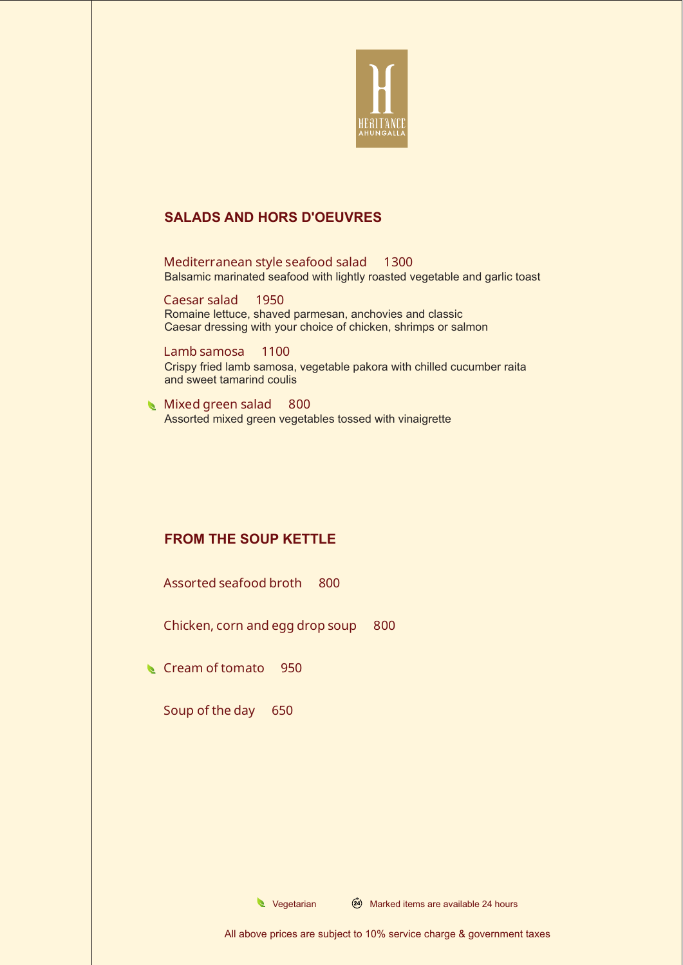

# **SALADS AND HORS D'OEUVRES**

Balsamic marinated seafood with lightly roasted vegetable and garlic toast Mediterranean style seafood salad 1300

Romaine lettuce, shaved parmesan, anchovies and classic Caesar dressing with your choice of chicken, shrimps or salmon Caesar salad 1950

Crispy fried lamb samosa, vegetable pakora with chilled cucumber raita and sweet tamarind coulis Lamb samosa 1100

Assorted mixed green vegetables tossed with vinaigrette Mixed green salad 800

# **FROM THE SOUP KETTLE**

Assorted seafood broth 800

Chicken, corn and egg drop soup 800

Cream of tomato 950

Soup of the day 650

 $\bullet$  Vegetarian  $\cancel{(2)}$  Marked items are available 24 hours

All above prices are subject to 10% service charge & government taxes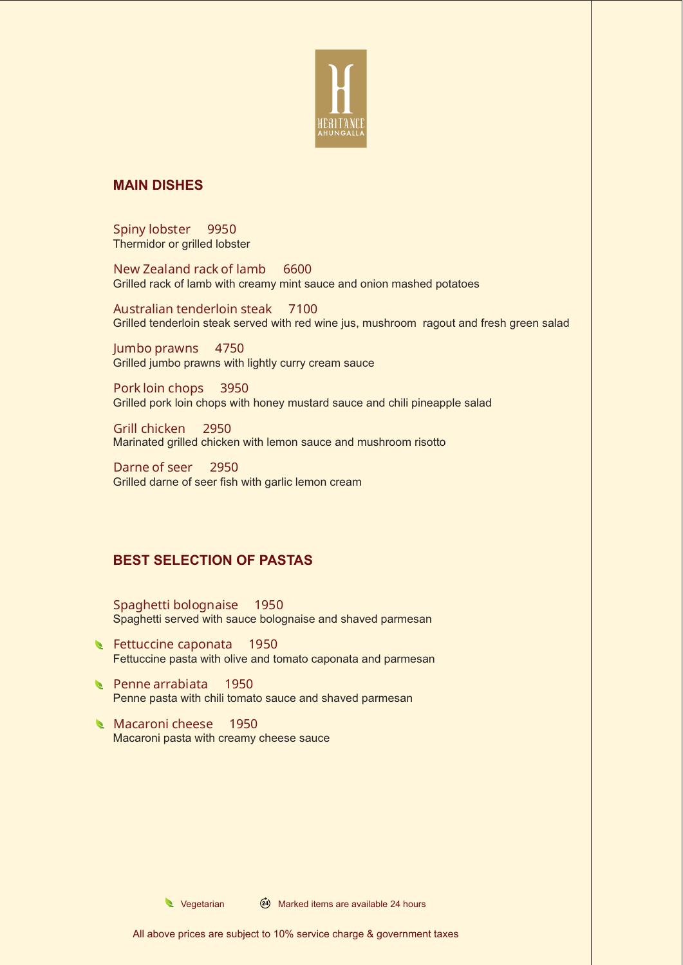

### **MAIN DISHES**

Thermidor or grilled lobster Spiny lobster 9950

Grilled rack of lamb with creamy mint sauce and onion mashed potatoes New Zealand rack of lamb 6600

Grilled tenderloin steak served with red wine jus, mushroom ragout and fresh green salad Australian tenderloin steak 7100

Grilled jumbo prawns with lightly curry cream sauce Jumbo prawns 4750

Grilled pork loin chops with honey mustard sauce and chili pineapple salad Pork loin chops 3950

Marinated grilled chicken with lemon sauce and mushroom risotto Grill chicken 2950

Grilled darne of seer fish with garlic lemon cream Darne of seer 2950

# **BEST SELECTION OF PASTAS**

Spaghetti served with sauce bolognaise and shaved parmesan Spaghetti bolognaise 1950

- Fettuccine pasta with olive and tomato caponata and parmesan Fettuccine caponata 1950
- Penne pasta with chili tomato sauce and shaved parmesan Penne arrabiata 1950
- Macaroni pasta with creamy cheese sauce Macaroni cheese 1950

 $\triangle$  Vegetarian  $\cancel{(24)}$  Marked items are available 24 hours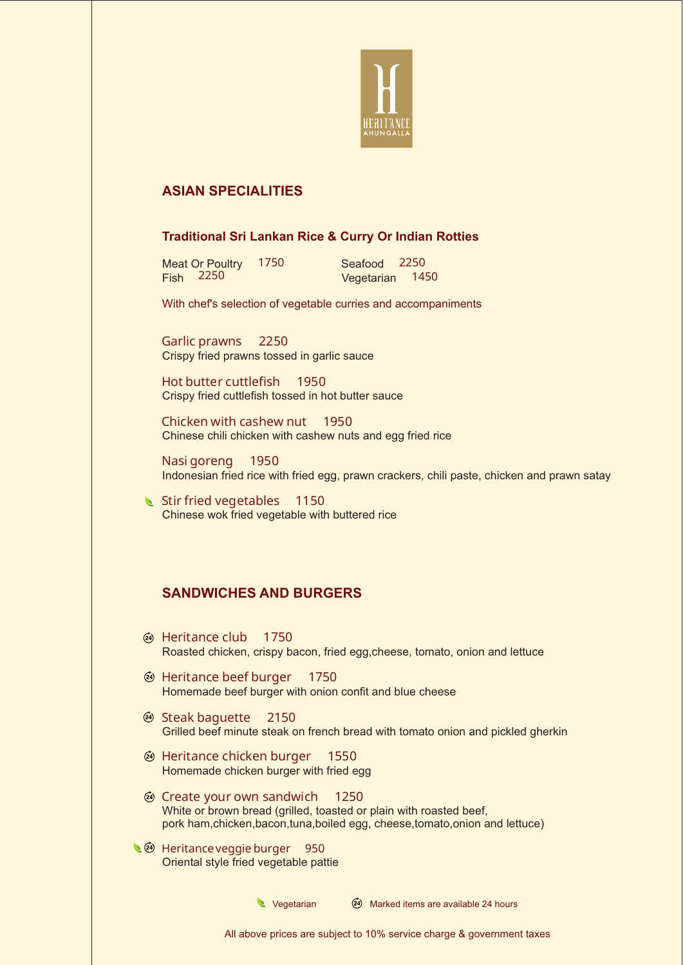

## **ASIAN SPECIALITIES**

### **Traditional Sri Lankan Rice & Curry Or Indian Rotties**

Meat Or Poultry 1750 Fish Vegetarian 1450 **Fish 2250** 

Seafood 2250

With chef's selection of vegetable curries and accompaniments

Crispy fried prawns tossed in garlic sauce Garlic prawns 2250

Crispy fried cuttlefish tossed in hot butter sauce Hot butter cuttlefish 1950

Chinese chili chicken with cashew nuts and egg fried rice Chicken with cashew nut 1950

Indonesian fried rice with fried egg, prawn crackers, chili paste, chicken and prawn satay Nasi goreng 1950

Chinese wok fried vegetable with buttered rice Stir fried vegetables 1150

## **SANDWICHES AND BURGERS**

- Roasted chicken, crispy bacon, fried egg,cheese, tomato, onion and lettuce **4** Heritance club 1750
- Homemade beef burger with onion confit and blue cheese **@ Heritance beef burger 1750**
- Grilled beef minute steak on french bread with tomato onion and pickled gherkin **@ Steak baguette** 2150
- Homemade chicken burger with fried egg  $\circledcirc$  **Heritance chicken burger** 1550
- White or brown bread (grilled, toasted or plain with roasted beef, pork ham,chicken,bacon,tuna,boiled egg, cheese,tomato,onion and lettuce) Create your own sandwich 1250
- Oriental style fried vegetable pattie t<sup>2</sup> Heritance veggie burger 950

 $\bullet$  Vegetarian  $\overline{24}$  Marked items are available 24 hours